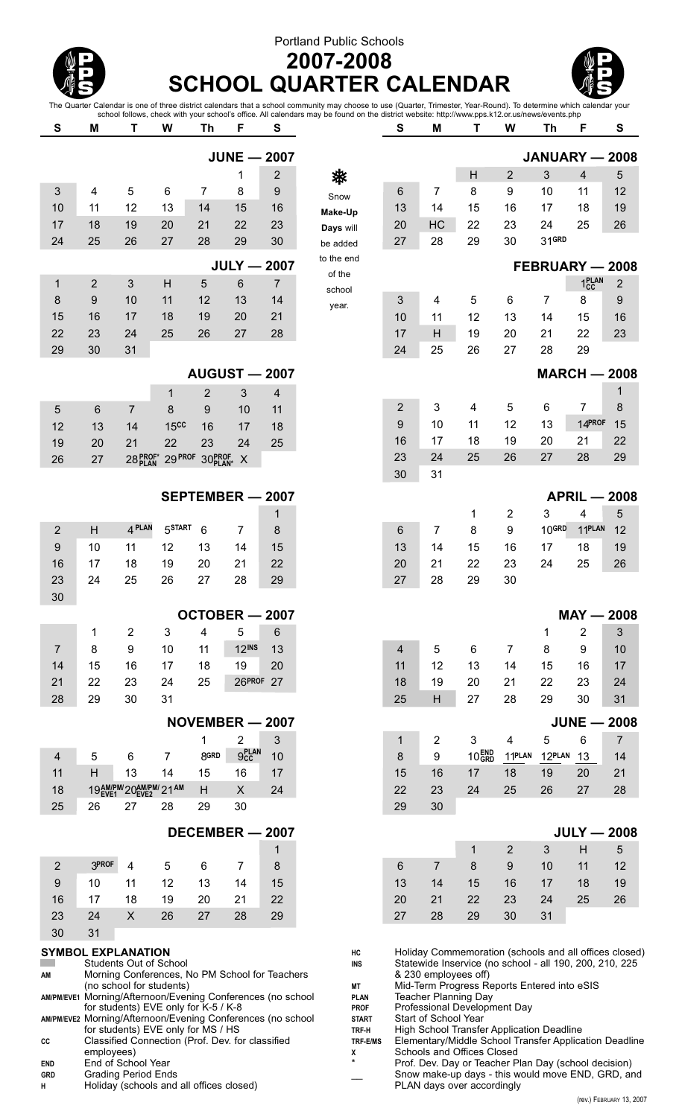## Portland Public Schools



## **2007-2008 SCHOOL QUARTER CALENDAR**



The Quarter Calendar is one of three district calendars that a school community may choose to use (Quarter, Trimester, Year-Round). To determine which calendar your school follows, check with your school's office. All calendars may be found on the district website: http://www.pps.k12.or.us/news/events.php

| S                                                           | M              | Т                                                | W                  | Th                   | F                         | S              |                             | S                                                                                                                              | M                                                    | Τ                 | W                       | Th                | F                  | S                                                      |
|-------------------------------------------------------------|----------------|--------------------------------------------------|--------------------|----------------------|---------------------------|----------------|-----------------------------|--------------------------------------------------------------------------------------------------------------------------------|------------------------------------------------------|-------------------|-------------------------|-------------------|--------------------|--------------------------------------------------------|
|                                                             |                |                                                  |                    |                      | <b>JUNE - 2007</b>        |                |                             |                                                                                                                                |                                                      |                   |                         |                   |                    | JANUARY - 2008                                         |
|                                                             |                |                                                  |                    |                      | 1                         | $\overline{2}$ | 桊                           |                                                                                                                                |                                                      | H                 | $\overline{2}$          | 3                 | $\overline{4}$     | 5                                                      |
| 3                                                           | 4              | 5                                                | 6                  | $\overline{7}$       | 8                         | 9              |                             | 6                                                                                                                              | 7                                                    | 8                 | 9                       | 10                | 11                 | 12                                                     |
| 10                                                          | 11             | 12                                               | 13                 | 14                   | 15                        | 16             | Snow<br>Make-Up             | 13                                                                                                                             | 14                                                   | 15                | 16                      | 17                | 18                 | 19                                                     |
| 17                                                          | 18             | 19                                               | 20                 | 21                   | 22                        | 23             | Days will                   | 20                                                                                                                             | HC                                                   | 22                | 23                      | 24                | 25                 | 26                                                     |
| 24                                                          | 25             | 26                                               | 27                 | 28                   | 29                        | 30             | be added                    | 27                                                                                                                             | 28                                                   | 29                | 30                      | 31GRD             |                    |                                                        |
|                                                             |                |                                                  |                    |                      | <b>JULY - 2007</b>        |                | to the end                  |                                                                                                                                |                                                      |                   |                         |                   |                    | FEBRUARY - 2008                                        |
| $\mathbf 1$                                                 | $\overline{2}$ | 3                                                | H                  | 5                    | 6                         | $\overline{7}$ | of the                      |                                                                                                                                |                                                      |                   |                         |                   | 1 <sub>CC</sub> AN | $\overline{2}$                                         |
| 8                                                           | 9              | 10                                               | 11                 | 12                   | 13                        | 14             | school                      | 3                                                                                                                              | 4                                                    | 5                 | 6                       | $\overline{7}$    | 8                  | 9                                                      |
| 15                                                          | 16             | 17                                               | 18                 | 19                   | 20                        | 21             | year.                       | 10                                                                                                                             | 11                                                   | 12                | 13                      | 14                | 15                 | 16                                                     |
| 22                                                          | 23             | 24                                               | 25                 | 26                   | 27                        | 28             |                             | 17                                                                                                                             | H                                                    | 19                | 20                      | 21                | 22                 | 23                                                     |
| 29                                                          | 30             | 31                                               |                    |                      |                           |                |                             | 24                                                                                                                             | 25                                                   | 26                | 27                      | 28                | 29                 |                                                        |
|                                                             |                |                                                  |                    | <b>AUGUST - 2007</b> |                           |                |                             |                                                                                                                                |                                                      |                   |                         |                   |                    | <b>MARCH - 2008</b>                                    |
|                                                             |                |                                                  | 1                  | $\overline{2}$       | 3                         | 4              |                             |                                                                                                                                |                                                      |                   |                         |                   |                    | 1                                                      |
| 5                                                           | $6\phantom{1}$ | $\overline{7}$                                   | 8                  | 9                    | 10                        | 11             |                             | $\overline{c}$                                                                                                                 | $\mathbf{3}$                                         | 4                 | 5                       | 6                 | 7                  | 8                                                      |
| 12                                                          | 13             | 14                                               | 15 <sub>cc</sub>   | 16                   | 17                        | 18             |                             | 9                                                                                                                              | 10                                                   | 11                | 12                      | 13                | 14PROF             | 15                                                     |
| 19                                                          | 20             | 21                                               | 22                 | 23                   | 24                        | 25             |                             | 16                                                                                                                             | 17                                                   | 18                | 19                      | 20                | 21                 | 22                                                     |
| 26                                                          | 27             | 28 PROF*                                         | 29 PROF            | 30PROF               | $\boldsymbol{\mathsf{X}}$ |                |                             | 23                                                                                                                             | 24                                                   | 25                | 26                      | 27                | 28                 | 29                                                     |
|                                                             |                |                                                  |                    |                      |                           |                |                             | 30                                                                                                                             | 31                                                   |                   |                         |                   |                    |                                                        |
|                                                             |                |                                                  |                    | SEPTEMBER - 2007     |                           |                |                             |                                                                                                                                |                                                      |                   |                         |                   |                    | <b>APRIL - 2008</b>                                    |
|                                                             |                |                                                  |                    |                      |                           | 1              |                             |                                                                                                                                |                                                      | 1                 | $\overline{\mathbf{c}}$ | 3                 | 4                  | 5                                                      |
| $\overline{2}$                                              | H              | 4 PLAN                                           | 5 <sup>START</sup> | 6                    | $\overline{7}$            | 8              |                             | 6                                                                                                                              | 7                                                    | 8                 | 9                       | 10 <sub>GRD</sub> | 11PLAN             | 12                                                     |
| 9                                                           | 10             | 11                                               | 12                 | 13                   | 14                        | 15             |                             | 13                                                                                                                             | 14                                                   | 15                | 16                      | 17                | 18                 | 19                                                     |
| 16                                                          | 17             | 18                                               | 19                 | 20                   | 21                        | 22             |                             | 20                                                                                                                             | 21                                                   | 22                | 23                      | 24                | 25                 | 26                                                     |
| 23<br>30                                                    | 24             | 25                                               | 26                 | 27                   | 28                        | 29             |                             | 27                                                                                                                             | 28                                                   | 29                | 30                      |                   |                    |                                                        |
|                                                             |                |                                                  |                    | OCTOBER - 2007       |                           |                |                             |                                                                                                                                |                                                      |                   |                         |                   |                    | $MAY - 2008$                                           |
|                                                             | 1              | $\overline{2}$                                   | 3                  | 4                    | 5                         | 6              |                             |                                                                                                                                |                                                      |                   |                         | 1                 | $\overline{2}$     | 3                                                      |
| $\overline{7}$                                              | 8              | 9                                                | 10                 | 11                   | <b>12INS</b>              | 13             |                             | 4                                                                                                                              | 5                                                    | 6                 | $\overline{7}$          | 8                 | 9                  | 10                                                     |
| 14                                                          | 15             | 16                                               | 17                 | 18                   | 19                        | 20             |                             | 11                                                                                                                             | 12                                                   | 13                | 14                      | 15                | 16                 | 17                                                     |
| 21                                                          | 22             | 23                                               | 24                 | 25                   | 26PROF 27                 |                |                             | 18                                                                                                                             | 19                                                   | 20                | 21                      | 22                | 23                 | 24                                                     |
| 28                                                          | 29             | 30                                               | 31                 |                      |                           |                |                             | 25                                                                                                                             | H                                                    | 27                | 28                      | 29                | 30                 | 31                                                     |
|                                                             |                |                                                  |                    | NOVEMBER - 2007      |                           |                |                             |                                                                                                                                |                                                      |                   |                         |                   |                    | $JUNE - 2008$                                          |
|                                                             |                |                                                  |                    | 1                    | $\overline{2}$            | 3              |                             | $\mathbf{1}$                                                                                                                   | $\overline{2}$                                       | 3                 | 4                       | 5                 | 6                  | $\overline{7}$                                         |
| 4                                                           | 5              | $\,6$                                            | $\overline{7}$     | 8GRD                 | 9 <sub>cc</sub>           | 10             |                             | 8                                                                                                                              | $\boldsymbol{9}$                                     | 10 <sub>GRD</sub> | 11PLAN                  | 12PLAN            | 13                 | 14                                                     |
| 11                                                          | H              | 13                                               | 14                 | 15                   | 16                        | 17             |                             | 15                                                                                                                             | 16                                                   | 17                | 18                      | 19                | 20                 | 21                                                     |
| 18                                                          |                | 19 AM/PM/20 AM/PM/21 AM                          |                    | H                    | X                         | 24             |                             | 22                                                                                                                             | 23                                                   | 24                | 25                      | 26                | 27                 | 28                                                     |
| 25                                                          | 26             | 27                                               | 28                 | 29                   | 30                        |                |                             | 29                                                                                                                             | 30                                                   |                   |                         |                   |                    |                                                        |
|                                                             |                |                                                  |                    | DECEMBER - 2007      |                           |                |                             |                                                                                                                                |                                                      |                   |                         |                   |                    | <b>JULY - 2008</b>                                     |
|                                                             |                |                                                  |                    |                      |                           | 1              |                             |                                                                                                                                |                                                      | 1                 | $\mathbf{2}$            | $\mathfrak{3}$    | H                  | 5                                                      |
| $\overline{2}$                                              | 3PROF          | 4                                                | 5                  | 6                    | $\overline{7}$            | 8              |                             | $6\,$                                                                                                                          | $\overline{7}$                                       | 8                 | 9                       | 10                | 11                 | 12                                                     |
| 9                                                           | 10             | 11                                               | 12                 | 13                   | 14                        | 15             |                             | 13                                                                                                                             | 14                                                   | 15                | 16                      | 17                | 18                 | 19                                                     |
| 16                                                          | 17             | 18                                               | 19                 | 20                   | 21                        | 22             |                             | 20                                                                                                                             | 21                                                   | 22                | 23                      | 24                | 25                 | 26                                                     |
| 23                                                          | 24             | $\mathsf{X}$                                     | 26                 | 27                   | 28                        | 29             |                             | 27                                                                                                                             | 28                                                   | 29                | 30                      | 31                |                    |                                                        |
| 30                                                          | 31             |                                                  |                    |                      |                           |                |                             |                                                                                                                                |                                                      |                   |                         |                   |                    |                                                        |
| <b>SYMBOL EXPLANATION</b>                                   |                | Students Out of School                           |                    |                      |                           |                | HC<br><b>INS</b>            |                                                                                                                                |                                                      |                   |                         |                   |                    | Holiday Commemoration (schools and all offices closed) |
| ΑМ                                                          |                | Morning Conferences, No PM School for Teachers   |                    |                      |                           |                |                             | Statewide Inservice (no school - all 190, 200, 210, 225<br>& 230 employees off)<br>Mid-Term Progress Reports Entered into eSIS |                                                      |                   |                         |                   |                    |                                                        |
| AM/PM/EVE1 Morning/Afternoon/Evening Conferences (no school |                | (no school for students)                         |                    |                      |                           |                | МT<br><b>PLAN</b>           |                                                                                                                                | <b>Teacher Planning Day</b>                          |                   |                         |                   |                    |                                                        |
| AM/PM/EVE2 Morning/Afternoon/Evening Conferences (no school |                | for students) EVE only for K-5 / K-8             |                    |                      |                           |                | <b>PROF</b><br><b>START</b> |                                                                                                                                | Professional Development Day<br>Start of School Year |                   |                         |                   |                    |                                                        |
|                                                             |                | for students) EVE only for MS / HS               |                    |                      |                           |                | TRF-H                       |                                                                                                                                | High School Transfer Application Deadline            |                   |                         |                   |                    |                                                        |
| СC                                                          |                | Classified Connection (Prof. Dev. for classified |                    |                      |                           |                | TRF-E/MS                    |                                                                                                                                |                                                      |                   |                         |                   |                    | Elementary/Middle School Transfer Application Deadline |

**X** Schools and Offices Closed

PLAN days over accordingly

\* Prof. Dev. Day or Teacher Plan Day (school decision) \_\_ Snow make-up days - this would move END, GRD, and

- **GRD** Grading Period Ends
- **H** Holiday (schools and all offices closed)